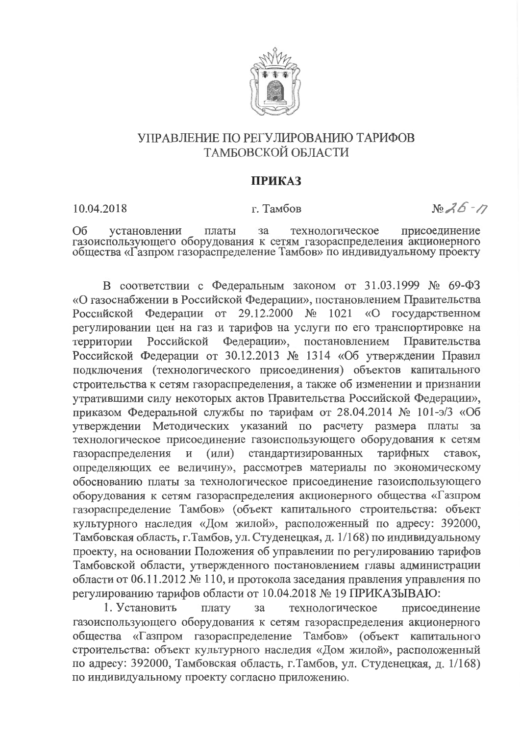

## УПРАВЛЕНИЕ ПО РЕГУЛИРОВАНИЮ ТАРИФОВ ТАМБОВСКОЙ ОБЛАСТИ

## **ПРИКАЗ**

10.04.2018

г. Тамбов

 $N_2 26 - 77$ 

Oб установлении платы  $3a$ технологическое присоединение газоиспользующего оборудования к сетям газораспределения акционерного общества «Газпром газораспределение Тамбов» по индивидуальному проекту

В соответствии с Федеральным законом от 31.03.1999 № 69-ФЗ «О газоснабжении в Российской Федерации», постановлением Правительства Российской Федерации от 29.12.2000 № 1021 «О государственном регулировании цен на газ и тарифов на услуги по его транспортировке на Российской Федерации», постановлением Правительства территории Российской Федерации от 30.12.2013 № 1314 «Об утверждении Правил подключения (технологического присоединения) объектов капитального строительства к сетям газораспределения, а также об изменении и признании утратившими силу некоторых актов Правительства Российской Федерации», приказом Федеральной службы по тарифам от 28.04.2014 № 101-э/3 «Об утверждении Методических указаний по расчету размера платы за технологическое присоединение газоиспользующего оборудования к сетям стандартизированных тарифных ставок.  $(MJ)$ газораспределения  $\mathbf{M}$ определяющих ее величину», рассмотрев материалы по экономическому обоснованию платы за технологическое присоединение газоиспользующего оборудования к сетям газораспределения акционерного общества «Газпром газораспределение Тамбов» (объект капитального строительства: объект культурного наследия «Дом жилой», расположенный по адресу: 392000, Тамбовская область, г. Тамбов, ул. Студенецкая, д. 1/168) по индивидуальному проекту, на основании Положения об управлении по регулированию тарифов Тамбовской области, утвержденного постановлением главы администрации области от 06.11.2012 № 110, и протокола заседания правления управления по регулированию тарифов области от 10.04.2018 № 19 ПРИКАЗЫВАЮ:

1. Установить  $3a$ технологическое присоединение плату газоиспользующего оборудования к сетям газораспределения акционерного общества «Газпром газораспределение Тамбов» (объект капитального строительства: объект культурного наследия «Дом жилой», расположенный по адресу: 392000, Тамбовская область, г. Тамбов, ул. Студенецкая, д. 1/168) по индивидуальному проекту согласно приложению.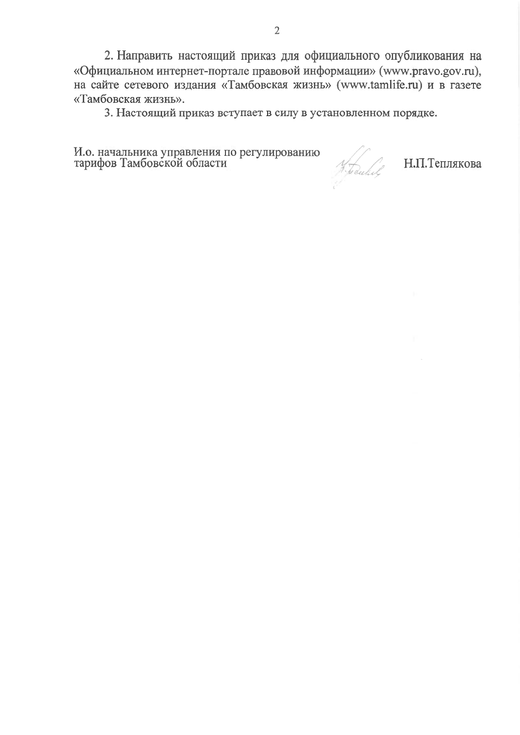2. Направить настоящий приказ для официального опубликования на «Официальном интернет-портале правовой информации» (www.pravo.gov.ru), на сайте сетевого издания «Тамбовская жизнь» (www.tamlife.ru) и в газете «Тамбовская жизнь».

3. Настоящий приказ вступает в силу в установленном порядке.

И.о. начальника управления по регулированию<br>тарифов Тамбовской области

Н.П.Теплякова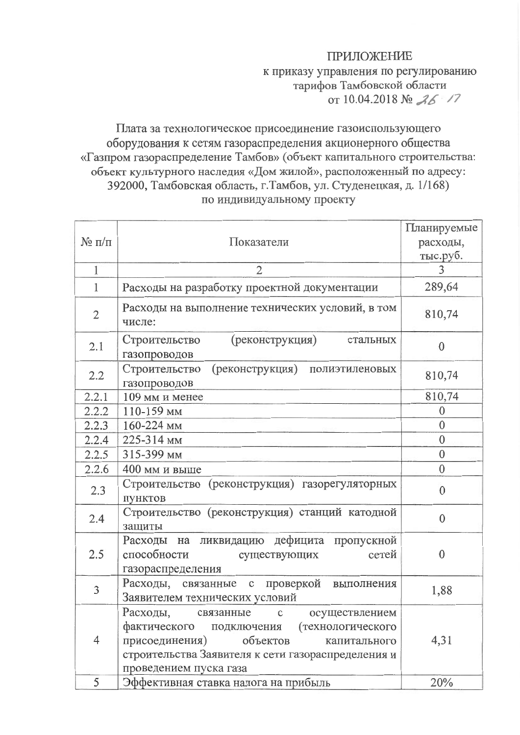## **ПРИЛОЖЕНИЕ**

## к приказу управления по регулированию тарифов Тамбовской области от 10.04.2018 № 26 /7

Плата за технологическое присоединение газоиспользующего оборудования к сетям газораспределения акционерного общества «Газпром газораспределение Тамбов» (объект капитального строительства: объект культурного наследия «Дом жилой», расположенный по адресу: 392000, Тамбовская область, г. Тамбов, ул. Студенецкая, д. 1/168) по индивидуальному проекту

|               |                                                                                                                                                                                                                    | Планируемые    |
|---------------|--------------------------------------------------------------------------------------------------------------------------------------------------------------------------------------------------------------------|----------------|
| $N_2 \pi/\pi$ | Показатели                                                                                                                                                                                                         | расходы,       |
|               |                                                                                                                                                                                                                    | тыс.руб.       |
| $\mathbf{1}$  | $\overline{2}$                                                                                                                                                                                                     | 3              |
| $\mathbf{1}$  | Расходы на разработку проектной документации                                                                                                                                                                       | 289,64         |
| $\mathbf{2}$  | Расходы на выполнение технических условий, в том<br>числе:                                                                                                                                                         | 810,74         |
| 2.1           | (реконструкция)<br>Строительство<br>стальных<br>газопроводов                                                                                                                                                       | 0              |
| 2.2           | Строительство<br>(реконструкция) полиэтиленовых<br>газопроводов                                                                                                                                                    | 810,74         |
| 2.2.1         | 109 мм и менее                                                                                                                                                                                                     | 810,74         |
| 2.2.2         | 110-159 MM                                                                                                                                                                                                         | 0              |
| 2.2.3         | 160-224 мм                                                                                                                                                                                                         | $\overline{0}$ |
| 2.2.4         | 225-314 мм                                                                                                                                                                                                         | $\mathbf{0}$   |
| 2.2.5         | 315-399 мм                                                                                                                                                                                                         | $\mathbf{0}$   |
| 2.2.6         | 400 мм и выше                                                                                                                                                                                                      | $\theta$       |
| 2.3           | Строительство (реконструкция) газорегуляторных<br>пунктов                                                                                                                                                          | $\mathbf{0}$   |
| 2.4           | Строительство (реконструкция) станций катодной<br>защиты                                                                                                                                                           | $\mathbf{0}$   |
| 2.5           | Расходы на ликвидацию дефицита пропускной<br>способности<br>сетей<br>существующих<br>газораспределения                                                                                                             | $\theta$       |
| 3             | Расходы, связанные с проверкой<br>выполнения<br>Заявителем технических условий                                                                                                                                     | 1,88           |
| 4             | Расходы, связанные с осуществлением<br>фактического<br>подключения (технологического<br>объектов<br>присоединения)<br>капитального<br>строительства Заявителя к сети газораспределения и<br>проведением пуска газа | 4,31           |
| 5             | Эффективная ставка налога на прибыль                                                                                                                                                                               | 20%            |